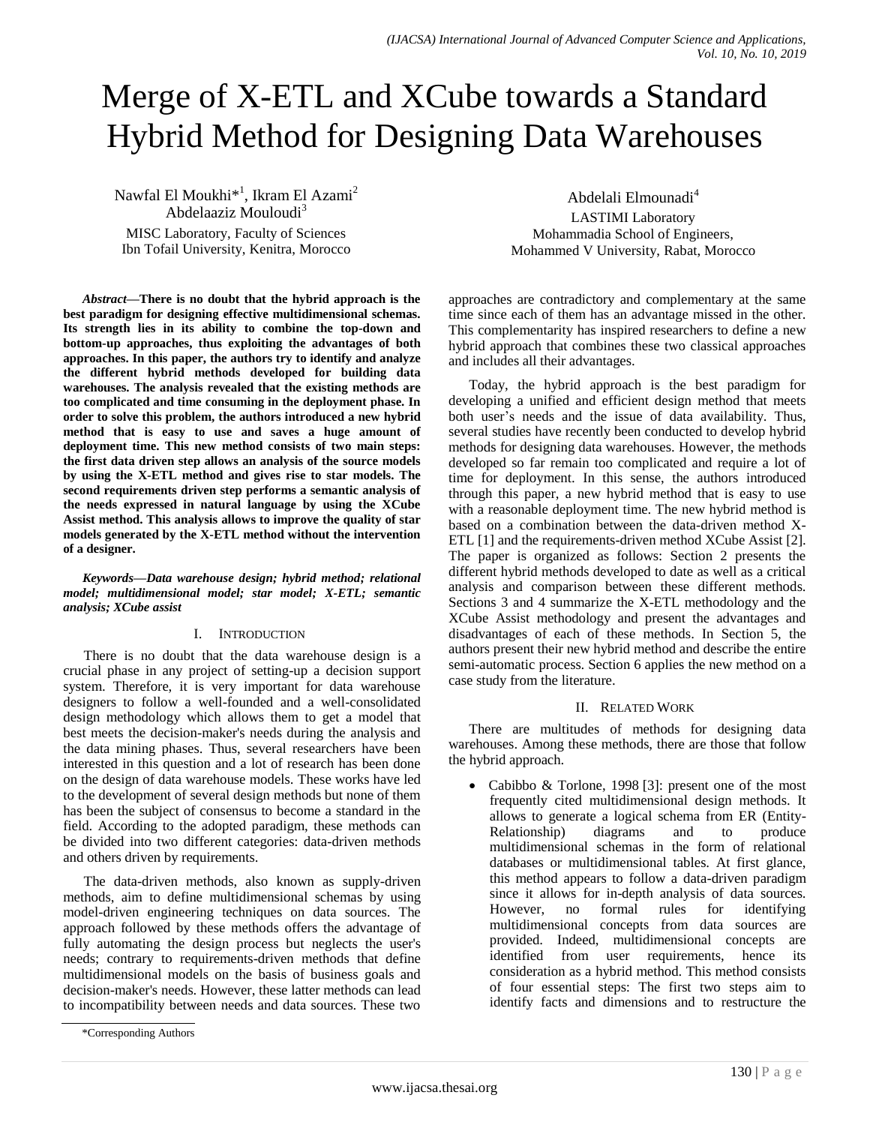# Merge of X-ETL and XCube towards a Standard Hybrid Method for Designing Data Warehouses

Nawfal El Moukhi<sup>\*1</sup>, Ikram El Azami<sup>2</sup> Abdelaaziz Mouloudi<sup>3</sup> MISC Laboratory, Faculty of Sciences Ibn Tofail University, Kenitra, Morocco

Abdelali Elmounadi<sup>4</sup> LASTIMI Laboratory Mohammadia School of Engineers, Mohammed V University, Rabat, Morocco

*Abstract***—There is no doubt that the hybrid approach is the best paradigm for designing effective multidimensional schemas. Its strength lies in its ability to combine the top-down and bottom-up approaches, thus exploiting the advantages of both approaches. In this paper, the authors try to identify and analyze the different hybrid methods developed for building data warehouses. The analysis revealed that the existing methods are too complicated and time consuming in the deployment phase. In order to solve this problem, the authors introduced a new hybrid method that is easy to use and saves a huge amount of deployment time. This new method consists of two main steps: the first data driven step allows an analysis of the source models by using the X-ETL method and gives rise to star models. The second requirements driven step performs a semantic analysis of the needs expressed in natural language by using the XCube Assist method. This analysis allows to improve the quality of star models generated by the X-ETL method without the intervention of a designer.**

*Keywords—Data warehouse design; hybrid method; relational model; multidimensional model; star model; X-ETL; semantic analysis; XCube assist*

### I. INTRODUCTION

There is no doubt that the data warehouse design is a crucial phase in any project of setting-up a decision support system. Therefore, it is very important for data warehouse designers to follow a well-founded and a well-consolidated design methodology which allows them to get a model that best meets the decision-maker's needs during the analysis and the data mining phases. Thus, several researchers have been interested in this question and a lot of research has been done on the design of data warehouse models. These works have led to the development of several design methods but none of them has been the subject of consensus to become a standard in the field. According to the adopted paradigm, these methods can be divided into two different categories: data-driven methods and others driven by requirements.

The data-driven methods, also known as supply-driven methods, aim to define multidimensional schemas by using model-driven engineering techniques on data sources. The approach followed by these methods offers the advantage of fully automating the design process but neglects the user's needs; contrary to requirements-driven methods that define multidimensional models on the basis of business goals and decision-maker's needs. However, these latter methods can lead to incompatibility between needs and data sources. These two approaches are contradictory and complementary at the same time since each of them has an advantage missed in the other. This complementarity has inspired researchers to define a new hybrid approach that combines these two classical approaches and includes all their advantages.

Today, the hybrid approach is the best paradigm for developing a unified and efficient design method that meets both user's needs and the issue of data availability. Thus, several studies have recently been conducted to develop hybrid methods for designing data warehouses. However, the methods developed so far remain too complicated and require a lot of time for deployment. In this sense, the authors introduced through this paper, a new hybrid method that is easy to use with a reasonable deployment time. The new hybrid method is based on a combination between the data-driven method X-ETL [1] and the requirements-driven method XCube Assist [2]. The paper is organized as follows: Section 2 presents the different hybrid methods developed to date as well as a critical analysis and comparison between these different methods. Sections 3 and 4 summarize the X-ETL methodology and the XCube Assist methodology and present the advantages and disadvantages of each of these methods. In Section 5, the authors present their new hybrid method and describe the entire semi-automatic process. Section 6 applies the new method on a case study from the literature.

### II. RELATED WORK

There are multitudes of methods for designing data warehouses. Among these methods, there are those that follow the hybrid approach.

• Cabibbo & Torlone, 1998 [3]: present one of the most frequently cited multidimensional design methods. It allows to generate a logical schema from ER (Entity-Relationship) diagrams and to produce multidimensional schemas in the form of relational databases or multidimensional tables. At first glance, this method appears to follow a data-driven paradigm since it allows for in-depth analysis of data sources. However, no formal rules for identifying multidimensional concepts from data sources are provided. Indeed, multidimensional concepts are identified from user requirements, hence its consideration as a hybrid method. This method consists of four essential steps: The first two steps aim to identify facts and dimensions and to restructure the

<sup>\*</sup>Corresponding Authors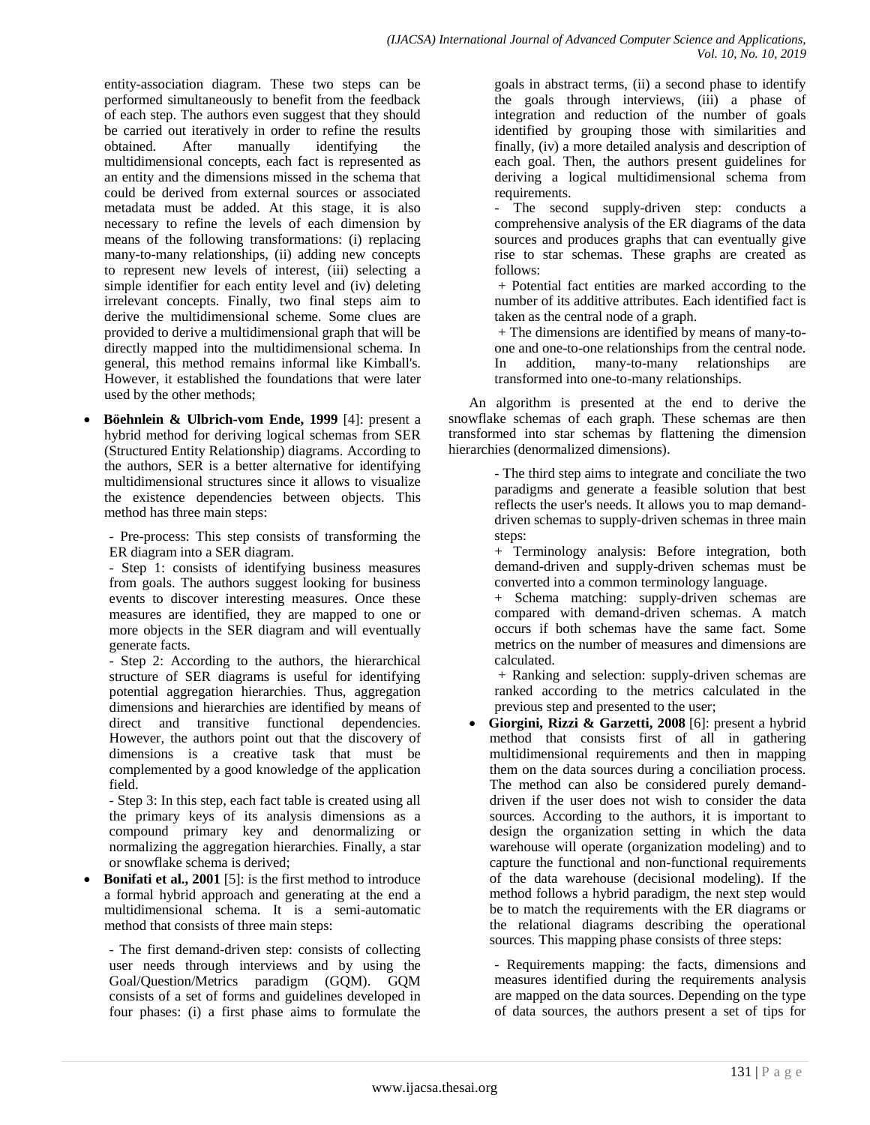entity-association diagram. These two steps can be performed simultaneously to benefit from the feedback of each step. The authors even suggest that they should be carried out iteratively in order to refine the results obtained. After manually identifying the multidimensional concepts, each fact is represented as an entity and the dimensions missed in the schema that could be derived from external sources or associated metadata must be added. At this stage, it is also necessary to refine the levels of each dimension by means of the following transformations: (i) replacing many-to-many relationships, (ii) adding new concepts to represent new levels of interest, (iii) selecting a simple identifier for each entity level and (iv) deleting irrelevant concepts. Finally, two final steps aim to derive the multidimensional scheme. Some clues are provided to derive a multidimensional graph that will be directly mapped into the multidimensional schema. In general, this method remains informal like Kimball's. However, it established the foundations that were later used by the other methods;

 **Böehnlein & Ulbrich-vom Ende, 1999** [4]: present a hybrid method for deriving logical schemas from SER (Structured Entity Relationship) diagrams. According to the authors, SER is a better alternative for identifying multidimensional structures since it allows to visualize the existence dependencies between objects. This method has three main steps:

- Pre-process: This step consists of transforming the ER diagram into a SER diagram.

- Step 1: consists of identifying business measures from goals. The authors suggest looking for business events to discover interesting measures. Once these measures are identified, they are mapped to one or more objects in the SER diagram and will eventually generate facts.

- Step 2: According to the authors, the hierarchical structure of SER diagrams is useful for identifying potential aggregation hierarchies. Thus, aggregation dimensions and hierarchies are identified by means of direct and transitive functional dependencies. However, the authors point out that the discovery of dimensions is a creative task that must be complemented by a good knowledge of the application field.

- Step 3: In this step, each fact table is created using all the primary keys of its analysis dimensions as a compound primary key and denormalizing or normalizing the aggregation hierarchies. Finally, a star or snowflake schema is derived;

**Bonifati et al., 2001** [5]: is the first method to introduce a formal hybrid approach and generating at the end a multidimensional schema. It is a semi-automatic method that consists of three main steps:

- The first demand-driven step: consists of collecting user needs through interviews and by using the Goal/Question/Metrics paradigm (GQM). GQM consists of a set of forms and guidelines developed in four phases: (i) a first phase aims to formulate the

goals in abstract terms, (ii) a second phase to identify the goals through interviews, (iii) a phase of integration and reduction of the number of goals identified by grouping those with similarities and finally, (iv) a more detailed analysis and description of each goal. Then, the authors present guidelines for deriving a logical multidimensional schema from requirements.

- The second supply-driven step: conducts a comprehensive analysis of the ER diagrams of the data sources and produces graphs that can eventually give rise to star schemas. These graphs are created as follows:

+ Potential fact entities are marked according to the number of its additive attributes. Each identified fact is taken as the central node of a graph.

+ The dimensions are identified by means of many-toone and one-to-one relationships from the central node. In addition, many-to-many relationships are transformed into one-to-many relationships.

An algorithm is presented at the end to derive the snowflake schemas of each graph. These schemas are then transformed into star schemas by flattening the dimension hierarchies (denormalized dimensions).

> - The third step aims to integrate and conciliate the two paradigms and generate a feasible solution that best reflects the user's needs. It allows you to map demanddriven schemas to supply-driven schemas in three main steps:

> + Terminology analysis: Before integration, both demand-driven and supply-driven schemas must be converted into a common terminology language.

> + Schema matching: supply-driven schemas are compared with demand-driven schemas. A match occurs if both schemas have the same fact. Some metrics on the number of measures and dimensions are calculated.

> + Ranking and selection: supply-driven schemas are ranked according to the metrics calculated in the previous step and presented to the user;

 **Giorgini, Rizzi & Garzetti, 2008** [6]: present a hybrid method that consists first of all in gathering multidimensional requirements and then in mapping them on the data sources during a conciliation process. The method can also be considered purely demanddriven if the user does not wish to consider the data sources. According to the authors, it is important to design the organization setting in which the data warehouse will operate (organization modeling) and to capture the functional and non-functional requirements of the data warehouse (decisional modeling). If the method follows a hybrid paradigm, the next step would be to match the requirements with the ER diagrams or the relational diagrams describing the operational sources. This mapping phase consists of three steps:

- Requirements mapping: the facts, dimensions and measures identified during the requirements analysis are mapped on the data sources. Depending on the type of data sources, the authors present a set of tips for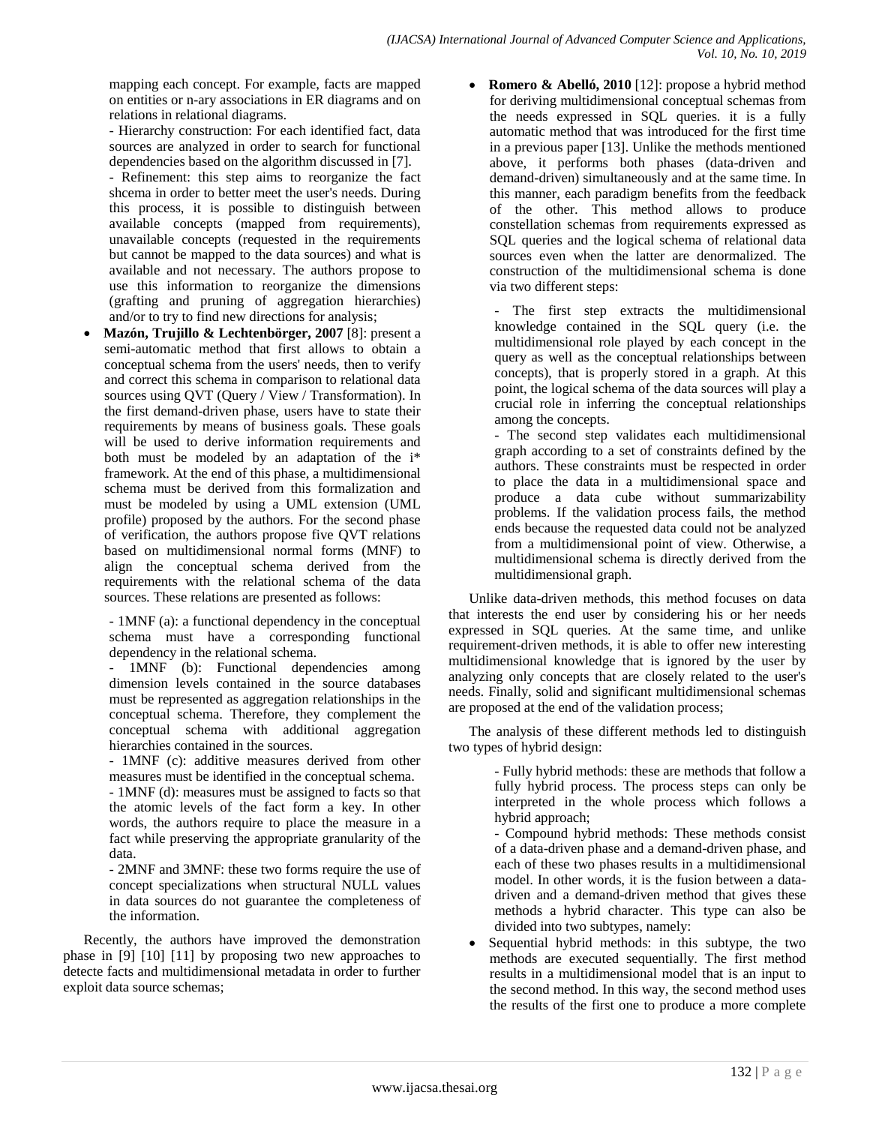mapping each concept. For example, facts are mapped on entities or n-ary associations in ER diagrams and on relations in relational diagrams.

- Hierarchy construction: For each identified fact, data sources are analyzed in order to search for functional dependencies based on the algorithm discussed in [7].

- Refinement: this step aims to reorganize the fact shcema in order to better meet the user's needs. During this process, it is possible to distinguish between available concepts (mapped from requirements), unavailable concepts (requested in the requirements but cannot be mapped to the data sources) and what is available and not necessary. The authors propose to use this information to reorganize the dimensions (grafting and pruning of aggregation hierarchies) and/or to try to find new directions for analysis;

 **Mazón, Trujillo & Lechtenbörger, 2007** [8]: present a semi-automatic method that first allows to obtain a conceptual schema from the users' needs, then to verify and correct this schema in comparison to relational data sources using QVT (Query / View / Transformation). In the first demand-driven phase, users have to state their requirements by means of business goals. These goals will be used to derive information requirements and both must be modeled by an adaptation of the i\* framework. At the end of this phase, a multidimensional schema must be derived from this formalization and must be modeled by using a UML extension (UML profile) proposed by the authors. For the second phase of verification, the authors propose five QVT relations based on multidimensional normal forms (MNF) to align the conceptual schema derived from the requirements with the relational schema of the data sources. These relations are presented as follows:

- 1MNF (a): a functional dependency in the conceptual schema must have a corresponding functional dependency in the relational schema.

1MNF (b): Functional dependencies among dimension levels contained in the source databases must be represented as aggregation relationships in the conceptual schema. Therefore, they complement the conceptual schema with additional aggregation hierarchies contained in the sources.

- 1MNF (c): additive measures derived from other measures must be identified in the conceptual schema.

- 1MNF (d): measures must be assigned to facts so that the atomic levels of the fact form a key. In other words, the authors require to place the measure in a fact while preserving the appropriate granularity of the data.

- 2MNF and 3MNF: these two forms require the use of concept specializations when structural NULL values in data sources do not guarantee the completeness of the information.

Recently, the authors have improved the demonstration phase in [9] [10] [11] by proposing two new approaches to detecte facts and multidimensional metadata in order to further exploit data source schemas;

• **Romero & Abelló, 2010** [12]: propose a hybrid method for deriving multidimensional conceptual schemas from the needs expressed in SQL queries. it is a fully automatic method that was introduced for the first time in a previous paper [13]. Unlike the methods mentioned above, it performs both phases (data-driven and demand-driven) simultaneously and at the same time. In this manner, each paradigm benefits from the feedback of the other. This method allows to produce constellation schemas from requirements expressed as SQL queries and the logical schema of relational data sources even when the latter are denormalized. The construction of the multidimensional schema is done via two different steps:

- The first step extracts the multidimensional knowledge contained in the SQL query (i.e. the multidimensional role played by each concept in the query as well as the conceptual relationships between concepts), that is properly stored in a graph. At this point, the logical schema of the data sources will play a crucial role in inferring the conceptual relationships among the concepts.

- The second step validates each multidimensional graph according to a set of constraints defined by the authors. These constraints must be respected in order to place the data in a multidimensional space and produce a data cube without summarizability problems. If the validation process fails, the method ends because the requested data could not be analyzed from a multidimensional point of view. Otherwise, a multidimensional schema is directly derived from the multidimensional graph.

Unlike data-driven methods, this method focuses on data that interests the end user by considering his or her needs expressed in SQL queries. At the same time, and unlike requirement-driven methods, it is able to offer new interesting multidimensional knowledge that is ignored by the user by analyzing only concepts that are closely related to the user's needs. Finally, solid and significant multidimensional schemas are proposed at the end of the validation process;

The analysis of these different methods led to distinguish two types of hybrid design:

> - Fully hybrid methods: these are methods that follow a fully hybrid process. The process steps can only be interpreted in the whole process which follows a hybrid approach;

- Compound hybrid methods: These methods consist of a data-driven phase and a demand-driven phase, and each of these two phases results in a multidimensional model. In other words, it is the fusion between a datadriven and a demand-driven method that gives these methods a hybrid character. This type can also be divided into two subtypes, namely:

 Sequential hybrid methods: in this subtype, the two methods are executed sequentially. The first method results in a multidimensional model that is an input to the second method. In this way, the second method uses the results of the first one to produce a more complete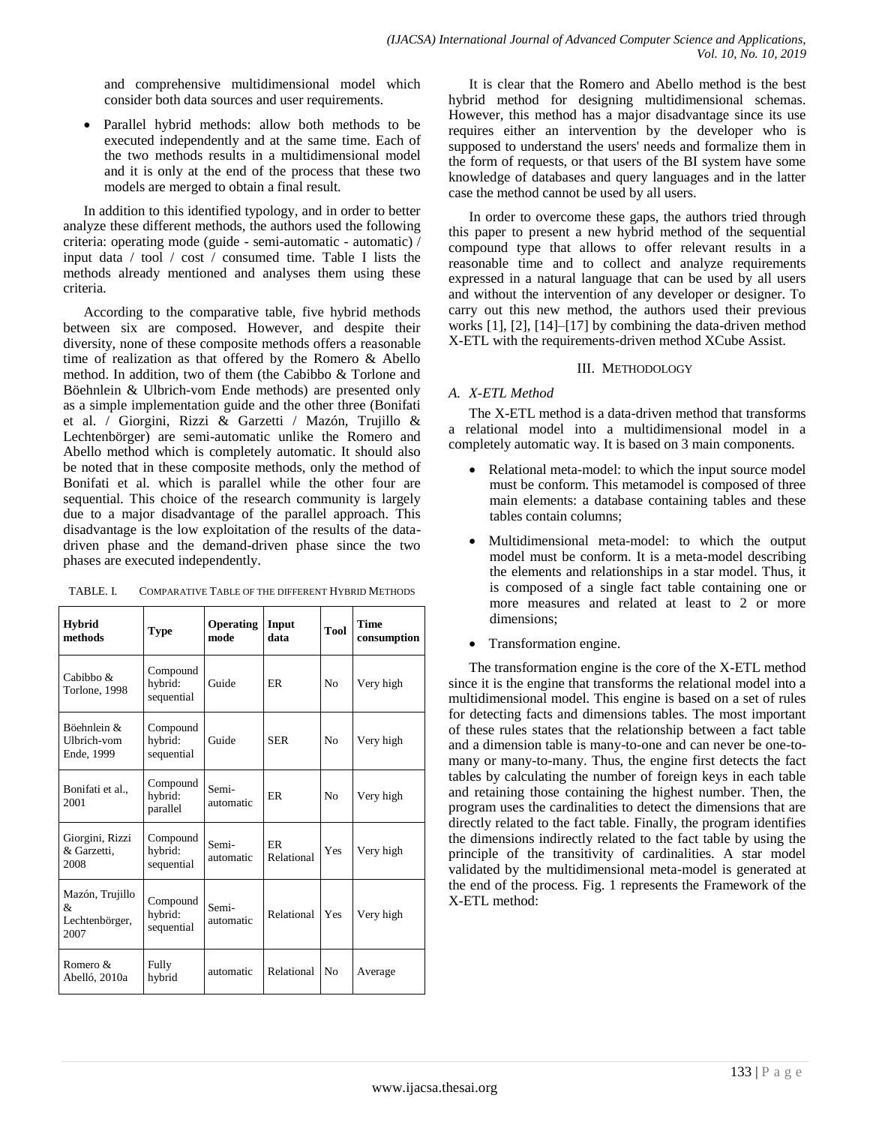and comprehensive multidimensional model which consider both data sources and user requirements.

 Parallel hybrid methods: allow both methods to be executed independently and at the same time. Each of the two methods results in a multidimensional model and it is only at the end of the process that these two models are merged to obtain a final result.

In addition to this identified typology, and in order to better analyze these different methods, the authors used the following criteria: operating mode (guide - semi-automatic - automatic) / input data / tool / cost / consumed time. Table I lists the methods already mentioned and analyses them using these criteria.

According to the comparative table, five hybrid methods between six are composed. However, and despite their diversity, none of these composite methods offers a reasonable time of realization as that offered by the Romero & Abello method. In addition, two of them (the Cabibbo & Torlone and Böehnlein & Ulbrich-vom Ende methods) are presented only as a simple implementation guide and the other three (Bonifati et al. / Giorgini, Rizzi & Garzetti / Mazón, Trujillo & Lechtenbörger) are semi-automatic unlike the Romero and Abello method which is completely automatic. It should also be noted that in these composite methods, only the method of Bonifati et al. which is parallel while the other four are sequential. This choice of the research community is largely due to a major disadvantage of the parallel approach. This disadvantage is the low exploitation of the results of the datadriven phase and the demand-driven phase since the two phases are executed independently.

TABLE. I. COMPARATIVE TABLE OF THE DIFFERENT HYBRID METHODS

| <b>Hybrid</b><br>methods                       | <b>Type</b>                       | <b>Operating</b><br>mode | Input<br>data           | Tool | <b>Time</b><br>consumption |
|------------------------------------------------|-----------------------------------|--------------------------|-------------------------|------|----------------------------|
| Cabibbo $\&$<br>Torlone, 1998                  | Compound<br>hybrid:<br>sequential | Guide                    | <b>ER</b>               | No   | Very high                  |
| Böehnlein &<br>Ulbrich-vom<br>Ende, 1999       | Compound<br>hybrid:<br>sequential | Guide                    | <b>SER</b>              | No   | Very high                  |
| Bonifati et al.,<br>2001                       | Compound<br>hybrid:<br>parallel   | Semi-<br>automatic       | <b>ER</b>               | No   | Very high                  |
| Giorgini, Rizzi<br>& Garzetti.<br>2008         | Compound<br>hybrid:<br>sequential | Semi-<br>automatic       | <b>ER</b><br>Relational | Yes  | Very high                  |
| Mazón, Trujillo<br>&<br>Lechtenbörger,<br>2007 | Compound<br>hybrid:<br>sequential | Semi-<br>automatic       | Relational              | Yes  | Very high                  |
| Romero &<br>Abelló, 2010a                      | Fully<br>hybrid                   | automatic                | Relational              | No   | Average                    |

It is clear that the Romero and Abello method is the best hybrid method for designing multidimensional schemas. However, this method has a major disadvantage since its use requires either an intervention by the developer who is supposed to understand the users' needs and formalize them in the form of requests, or that users of the BI system have some knowledge of databases and query languages and in the latter case the method cannot be used by all users.

In order to overcome these gaps, the authors tried through this paper to present a new hybrid method of the sequential compound type that allows to offer relevant results in a reasonable time and to collect and analyze requirements expressed in a natural language that can be used by all users and without the intervention of any developer or designer. To carry out this new method, the authors used their previous works [1], [2], [14]–[17] by combining the data-driven method X-ETL with the requirements-driven method XCube Assist.

### III. METHODOLOGY

# *A. X-ETL Method*

The X-ETL method is a data-driven method that transforms a relational model into a multidimensional model in a completely automatic way. It is based on 3 main components.

- Relational meta-model: to which the input source model must be conform. This metamodel is composed of three main elements: a database containing tables and these tables contain columns;
- Multidimensional meta-model: to which the output model must be conform. It is a meta-model describing the elements and relationships in a star model. Thus, it is composed of a single fact table containing one or more measures and related at least to 2 or more dimensions;
- Transformation engine.

The transformation engine is the core of the X-ETL method since it is the engine that transforms the relational model into a multidimensional model. This engine is based on a set of rules for detecting facts and dimensions tables. The most important of these rules states that the relationship between a fact table and a dimension table is many-to-one and can never be one-tomany or many-to-many. Thus, the engine first detects the fact tables by calculating the number of foreign keys in each table and retaining those containing the highest number. Then, the program uses the cardinalities to detect the dimensions that are directly related to the fact table. Finally, the program identifies the dimensions indirectly related to the fact table by using the principle of the transitivity of cardinalities. A star model validated by the multidimensional meta-model is generated at the end of the process. Fig. 1 represents the Framework of the X-ETL method: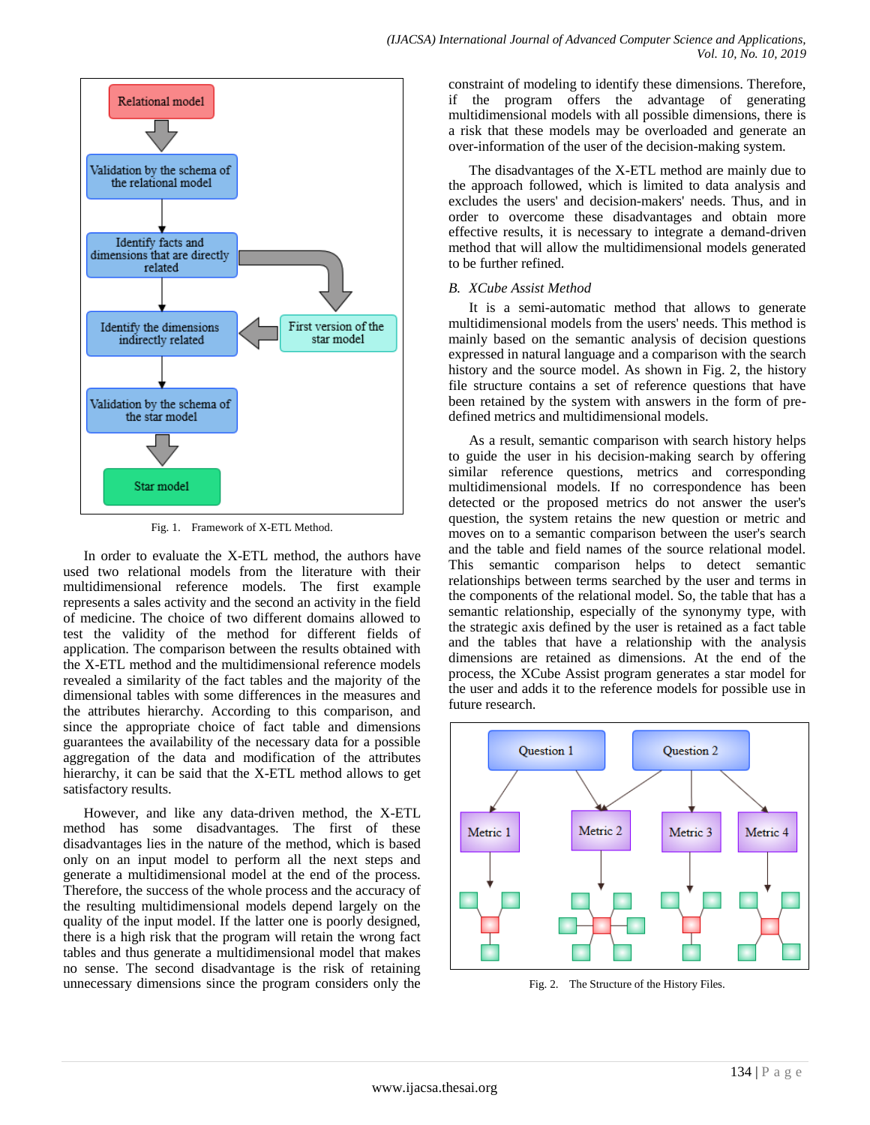

Fig. 1. Framework of X-ETL Method.

In order to evaluate the X-ETL method, the authors have used two relational models from the literature with their multidimensional reference models. The first example represents a sales activity and the second an activity in the field of medicine. The choice of two different domains allowed to test the validity of the method for different fields of application. The comparison between the results obtained with the X-ETL method and the multidimensional reference models revealed a similarity of the fact tables and the majority of the dimensional tables with some differences in the measures and the attributes hierarchy. According to this comparison, and since the appropriate choice of fact table and dimensions guarantees the availability of the necessary data for a possible aggregation of the data and modification of the attributes hierarchy, it can be said that the X-ETL method allows to get satisfactory results.

However, and like any data-driven method, the X-ETL method has some disadvantages. The first of these disadvantages lies in the nature of the method, which is based only on an input model to perform all the next steps and generate a multidimensional model at the end of the process. Therefore, the success of the whole process and the accuracy of the resulting multidimensional models depend largely on the quality of the input model. If the latter one is poorly designed, there is a high risk that the program will retain the wrong fact tables and thus generate a multidimensional model that makes no sense. The second disadvantage is the risk of retaining unnecessary dimensions since the program considers only the constraint of modeling to identify these dimensions. Therefore, if the program offers the advantage of generating multidimensional models with all possible dimensions, there is a risk that these models may be overloaded and generate an over-information of the user of the decision-making system.

The disadvantages of the X-ETL method are mainly due to the approach followed, which is limited to data analysis and excludes the users' and decision-makers' needs. Thus, and in order to overcome these disadvantages and obtain more effective results, it is necessary to integrate a demand-driven method that will allow the multidimensional models generated to be further refined.

# *B. XCube Assist Method*

It is a semi-automatic method that allows to generate multidimensional models from the users' needs. This method is mainly based on the semantic analysis of decision questions expressed in natural language and a comparison with the search history and the source model. As shown in Fig. 2, the history file structure contains a set of reference questions that have been retained by the system with answers in the form of predefined metrics and multidimensional models.

As a result, semantic comparison with search history helps to guide the user in his decision-making search by offering similar reference questions, metrics and corresponding multidimensional models. If no correspondence has been detected or the proposed metrics do not answer the user's question, the system retains the new question or metric and moves on to a semantic comparison between the user's search and the table and field names of the source relational model. This semantic comparison helps to detect semantic relationships between terms searched by the user and terms in the components of the relational model. So, the table that has a semantic relationship, especially of the synonymy type, with the strategic axis defined by the user is retained as a fact table and the tables that have a relationship with the analysis dimensions are retained as dimensions. At the end of the process, the XCube Assist program generates a star model for the user and adds it to the reference models for possible use in future research.



Fig. 2. The Structure of the History Files.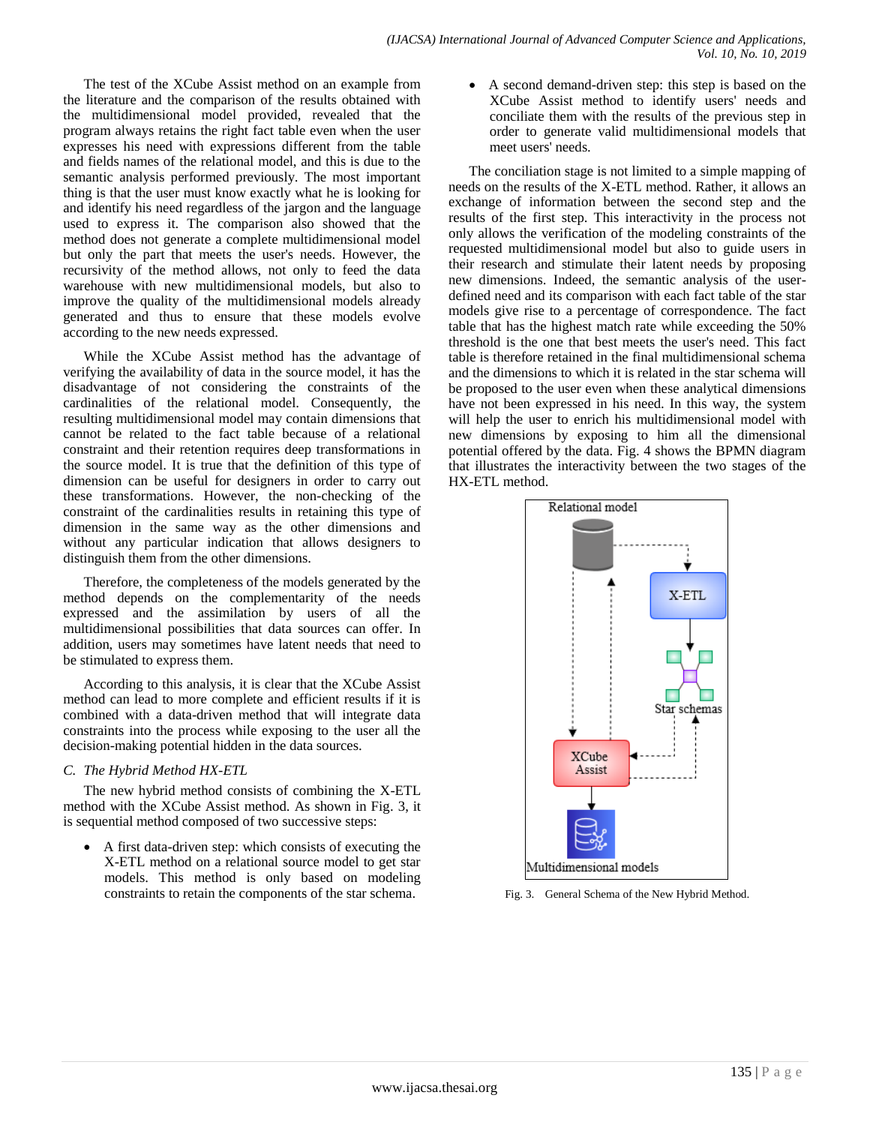The test of the XCube Assist method on an example from the literature and the comparison of the results obtained with the multidimensional model provided, revealed that the program always retains the right fact table even when the user expresses his need with expressions different from the table and fields names of the relational model, and this is due to the semantic analysis performed previously. The most important thing is that the user must know exactly what he is looking for and identify his need regardless of the jargon and the language used to express it. The comparison also showed that the method does not generate a complete multidimensional model but only the part that meets the user's needs. However, the recursivity of the method allows, not only to feed the data warehouse with new multidimensional models, but also to improve the quality of the multidimensional models already generated and thus to ensure that these models evolve according to the new needs expressed.

While the XCube Assist method has the advantage of verifying the availability of data in the source model, it has the disadvantage of not considering the constraints of the cardinalities of the relational model. Consequently, the resulting multidimensional model may contain dimensions that cannot be related to the fact table because of a relational constraint and their retention requires deep transformations in the source model. It is true that the definition of this type of dimension can be useful for designers in order to carry out these transformations. However, the non-checking of the constraint of the cardinalities results in retaining this type of dimension in the same way as the other dimensions and without any particular indication that allows designers to distinguish them from the other dimensions.

Therefore, the completeness of the models generated by the method depends on the complementarity of the needs expressed and the assimilation by users of all the multidimensional possibilities that data sources can offer. In addition, users may sometimes have latent needs that need to be stimulated to express them.

According to this analysis, it is clear that the XCube Assist method can lead to more complete and efficient results if it is combined with a data-driven method that will integrate data constraints into the process while exposing to the user all the decision-making potential hidden in the data sources.

## *C. The Hybrid Method HX-ETL*

The new hybrid method consists of combining the X-ETL method with the XCube Assist method. As shown in Fig. 3, it is sequential method composed of two successive steps:

 A first data-driven step: which consists of executing the X-ETL method on a relational source model to get star models. This method is only based on modeling constraints to retain the components of the star schema.

 A second demand-driven step: this step is based on the XCube Assist method to identify users' needs and conciliate them with the results of the previous step in order to generate valid multidimensional models that meet users' needs.

The conciliation stage is not limited to a simple mapping of needs on the results of the X-ETL method. Rather, it allows an exchange of information between the second step and the results of the first step. This interactivity in the process not only allows the verification of the modeling constraints of the requested multidimensional model but also to guide users in their research and stimulate their latent needs by proposing new dimensions. Indeed, the semantic analysis of the userdefined need and its comparison with each fact table of the star models give rise to a percentage of correspondence. The fact table that has the highest match rate while exceeding the 50% threshold is the one that best meets the user's need. This fact table is therefore retained in the final multidimensional schema and the dimensions to which it is related in the star schema will be proposed to the user even when these analytical dimensions have not been expressed in his need. In this way, the system will help the user to enrich his multidimensional model with new dimensions by exposing to him all the dimensional potential offered by the data. Fig. 4 shows the BPMN diagram that illustrates the interactivity between the two stages of the HX-ETL method.



Fig. 3. General Schema of the New Hybrid Method.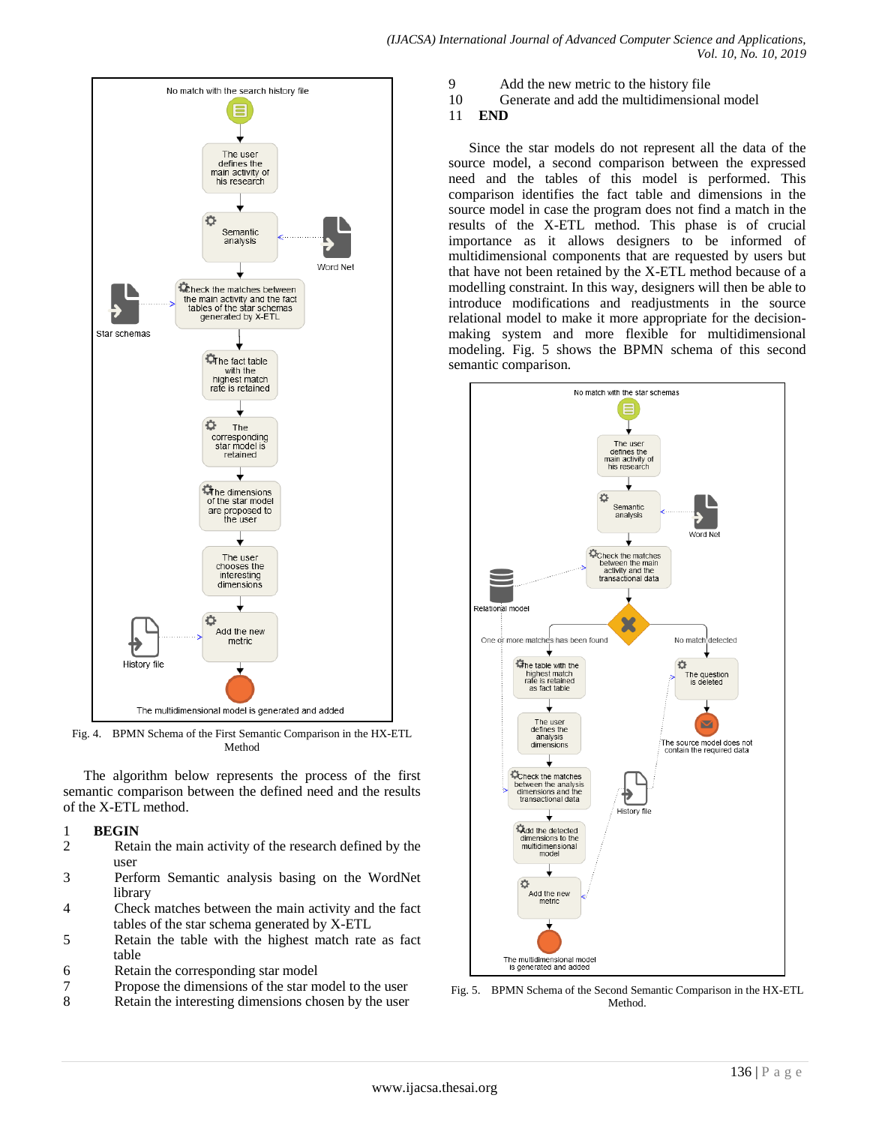

Fig. 4. BPMN Schema of the First Semantic Comparison in the HX-ETL Method

The algorithm below represents the process of the first semantic comparison between the defined need and the results of the X-ETL method.

# 1 **BEGIN**

- Retain the main activity of the research defined by the user
- 3 Perform Semantic analysis basing on the WordNet library
- 4 Check matches between the main activity and the fact tables of the star schema generated by X-ETL
- 5 Retain the table with the highest match rate as fact table
- 6 Retain the corresponding star model
- 7 Propose the dimensions of the star model to the user
- 8 Retain the interesting dimensions chosen by the user
- 9 Add the new metric to the history file
	-

*(IJACSA) International Journal of Advanced Computer Science and Applications,*

10 Generate and add the multidimensional model

*Vol. 10, No. 10, 2019*

# 11 **END**

Since the star models do not represent all the data of the source model, a second comparison between the expressed need and the tables of this model is performed. This comparison identifies the fact table and dimensions in the source model in case the program does not find a match in the results of the X-ETL method. This phase is of crucial importance as it allows designers to be informed of multidimensional components that are requested by users but that have not been retained by the X-ETL method because of a modelling constraint. In this way, designers will then be able to introduce modifications and readjustments in the source relational model to make it more appropriate for the decisionmaking system and more flexible for multidimensional modeling. Fig. 5 shows the BPMN schema of this second semantic comparison.



Fig. 5. BPMN Schema of the Second Semantic Comparison in the HX-ETL Method.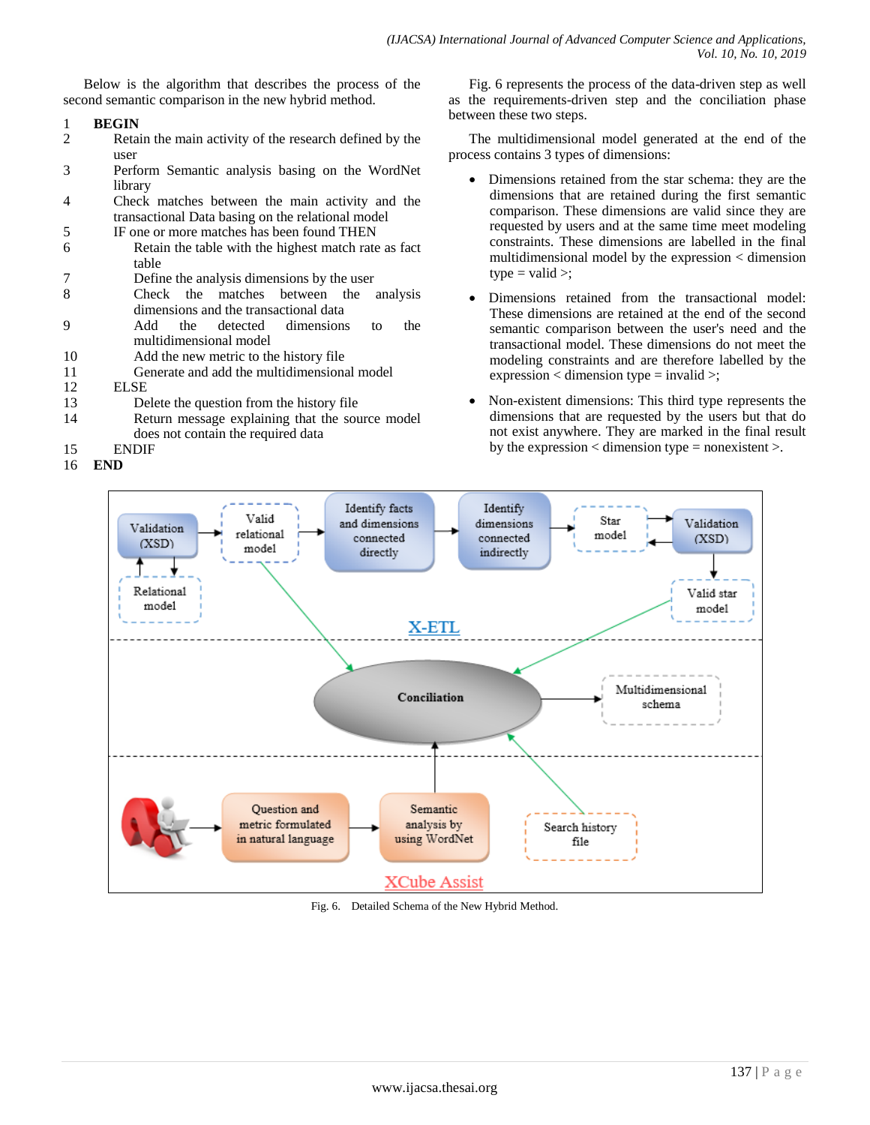Below is the algorithm that describes the process of the second semantic comparison in the new hybrid method.

- 1 **BEGIN**
- Retain the main activity of the research defined by the user
- 3 Perform Semantic analysis basing on the WordNet library
- 4 Check matches between the main activity and the transactional Data basing on the relational model
- 5 IF one or more matches has been found THEN
- 6 Retain the table with the highest match rate as fact table
- 7 Define the analysis dimensions by the user
- 8 Check the matches between the analysis dimensions and the transactional data
- 9 Add the detected dimensions to the multidimensional model
- 10 Add the new metric to the history file
- 11 Generate and add the multidimensional model
- 12 ELSE
- 13 Delete the question from the history file
- 14 Return message explaining that the source model does not contain the required data
- 15 ENDIF
- 16 **END**

Fig. 6 represents the process of the data-driven step as well as the requirements-driven step and the conciliation phase between these two steps.

The multidimensional model generated at the end of the process contains 3 types of dimensions:

- Dimensions retained from the star schema: they are the dimensions that are retained during the first semantic comparison. These dimensions are valid since they are requested by users and at the same time meet modeling constraints. These dimensions are labelled in the final multidimensional model by the expression < dimension  $type = valid >;$
- Dimensions retained from the transactional model: These dimensions are retained at the end of the second semantic comparison between the user's need and the transactional model. These dimensions do not meet the modeling constraints and are therefore labelled by the expression < dimension type = invalid >;
- Non-existent dimensions: This third type represents the dimensions that are requested by the users but that do not exist anywhere. They are marked in the final result by the expression  $\lt$  dimension type = nonexistent  $\gt$ .



Fig. 6. Detailed Schema of the New Hybrid Method.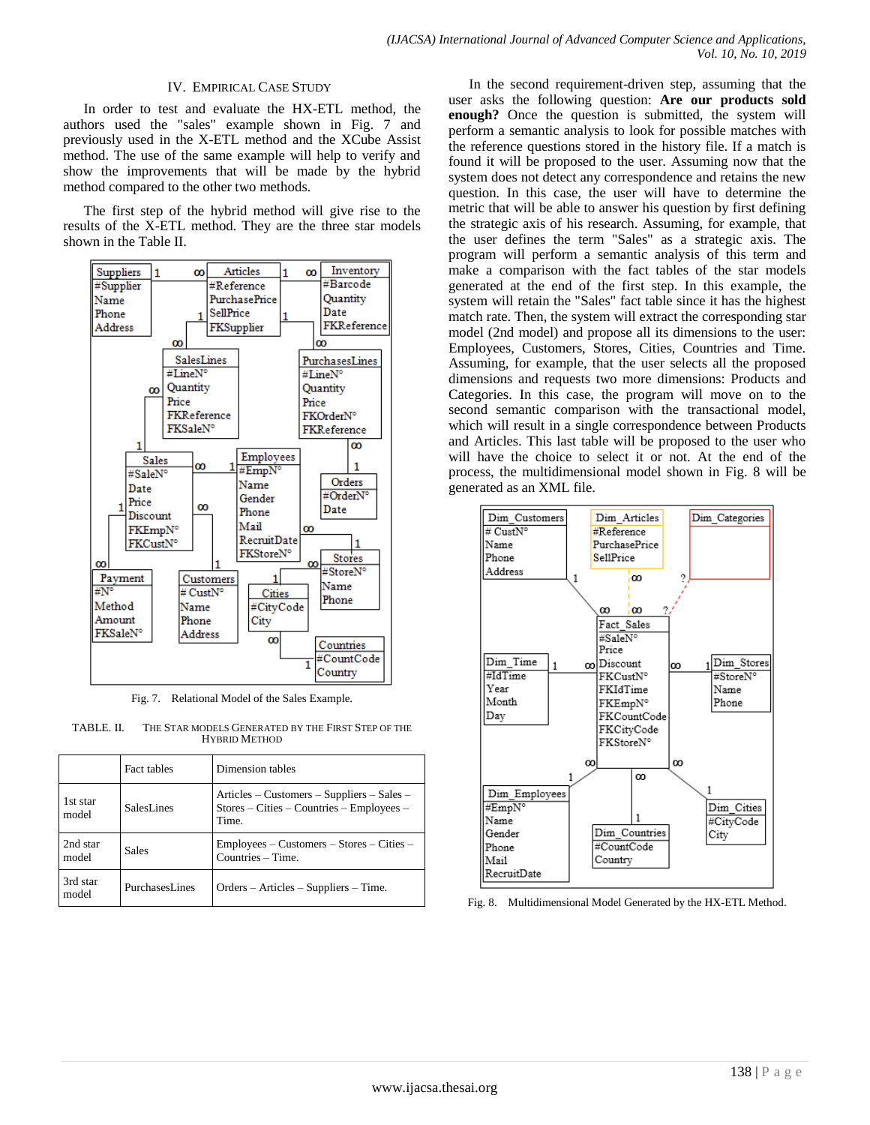### IV. EMPIRICAL CASE STUDY

In order to test and evaluate the HX-ETL method, the authors used the "sales" example shown in Fig. 7 and previously used in the X-ETL method and the XCube Assist method. The use of the same example will help to verify and show the improvements that will be made by the hybrid method compared to the other two methods.

The first step of the hybrid method will give rise to the results of the X-ETL method. They are the three star models shown in the Table II.



Fig. 7. Relational Model of the Sales Example.

TABLE. II. THE STAR MODELS GENERATED BY THE FIRST STEP OF THE HYBRID METHOD

|                   | <b>Fact tables</b> | Dimension tables                                                                                                               |
|-------------------|--------------------|--------------------------------------------------------------------------------------------------------------------------------|
| 1st star<br>model | SalesLines         | Articles – Customers – Suppliers – Sales –<br>$\text{Stores} - \text{Cities} - \text{Countries} - \text{Employees} -$<br>Time. |
| 2nd star<br>model | <b>Sales</b>       | Employees – Customers – Stores – Cities –<br>Countries – Time.                                                                 |
| 3rd star<br>model | PurchasesLines     | $Orders - Articles - Suppliers - Time.$                                                                                        |

In the second requirement-driven step, assuming that the user asks the following question: **Are our products sold enough?** Once the question is submitted, the system will perform a semantic analysis to look for possible matches with the reference questions stored in the history file. If a match is found it will be proposed to the user. Assuming now that the system does not detect any correspondence and retains the new question. In this case, the user will have to determine the metric that will be able to answer his question by first defining the strategic axis of his research. Assuming, for example, that the user defines the term "Sales" as a strategic axis. The program will perform a semantic analysis of this term and make a comparison with the fact tables of the star models generated at the end of the first step. In this example, the system will retain the "Sales" fact table since it has the highest match rate. Then, the system will extract the corresponding star model (2nd model) and propose all its dimensions to the user: Employees, Customers, Stores, Cities, Countries and Time. Assuming, for example, that the user selects all the proposed dimensions and requests two more dimensions: Products and Categories. In this case, the program will move on to the second semantic comparison with the transactional model, which will result in a single correspondence between Products and Articles. This last table will be proposed to the user who will have the choice to select it or not. At the end of the process, the multidimensional model shown in Fig. 8 will be generated as an XML file.



Fig. 8. Multidimensional Model Generated by the HX-ETL Method.